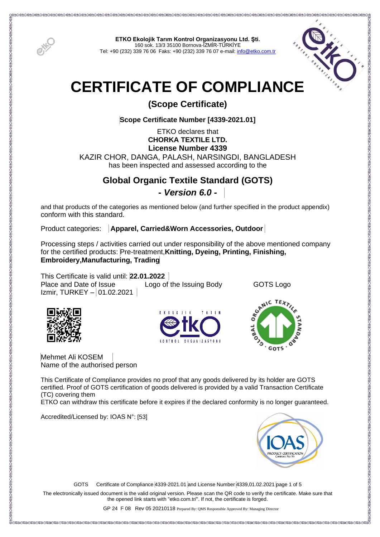

**ETKO Ekolojik Tarım Kontrol Organizasyonu Ltd. Şti.** 160 sok. 13/3 35100 Bornova-İZMİR-TÜRKİYE Tel: +90 (232) 339 76 06 Faks: +90 (232) 339 76 07 e-mail[: info@etko.com.tr](mailto:info@etko.com.tr)



# **CERTIFICATE OF COMPLIANCE**

**(Scope Certificate)**

**Scope Certificate Number [4339-2021.01]**

ETKO declares that **CHORKA TEXTILE LTD. License Number 4339** KAZIR CHOR, DANGA, PALASH, NARSINGDI, BANGLADESH has been inspected and assessed according to the

# **Global Organic Textile Standard (GOTS) -** *Version 6.0 -*

and that products of the categories as mentioned below (and further specified in the product appendix) conform with this standard.

Product categories: **Apparel, Carried&Worn Accessories, Outdoor** 

Processing steps / activities carried out under responsibility of the above mentioned company for the certified products: Pre-treatment,**Knitting, Dyeing, Printing, Finishing, Embroidery,Manufacturing, Trading**

This Certificate is valid until: **22.01.2022**  Place and Date of Issue Logo of the Issuing Body GOTS Logo  $Izmir, TURKEY - 01.02.2021$ 







Mehmet Ali KOSEM Name of the authorised person

This Certificate of Compliance provides no proof that any goods delivered by its holder are GOTS certified. Proof of GOTS certification of goods delivered is provided by a valid Transaction Certificate (TC) covering them

ETKO can withdraw this certificate before it expires if the declared conformity is no longer guaranteed.

Accredited/Licensed by: IOAS N°: [53]



GOTS Certificate of Compliance 4339-2021.01 and License Number 4339,01.02.2021 page 1 of 5

The electronically issued document is the valid original version. Please scan the QR code to verify the certificate. Make sure that the opened link starts with "etko.com.tr/". If not, the certificate is forged.

GP 24 F 08 Rev 05 20210118 Prepared By: QMS Responsible Approved By: Managing Director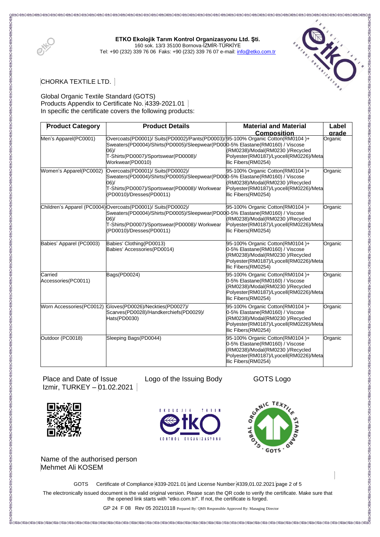

# **ETKO Ekolojik Tarım Kontrol Organizasyonu Ltd. Şti.** 160 sok. 13/3 35100 Bornova-İZMİR-TÜRKİYE

Tel: +90 (232) 339 76 06 Faks: +90 (232) 339 76 07 e-mail[: info@etko.com.tr](mailto:info@etko.com.tr)



CHORKA TEXTILE LTD.

### Global Organic Textile Standard (GOTS) Products Appendix to Certificate No. 4339-2021.01 In specific the certificate covers the following products:

| <b>Product Category</b>        | <b>Product Details</b>                                                                                                                                                                                                                  | <b>Material and Material</b>                                                                                                                                           | Label            |
|--------------------------------|-----------------------------------------------------------------------------------------------------------------------------------------------------------------------------------------------------------------------------------------|------------------------------------------------------------------------------------------------------------------------------------------------------------------------|------------------|
| Men's Apparel(PC0001)          | Overcoats(PD0001)/ Suits(PD0002)/Pants(PD0003)/95-100% Organic Cotton(RM0104)+<br>Sweaters(PD0004)/Shirts(PD0005)/Sleepwear(PD000-5% Elastane(RM0160) / Viscose<br>06)/<br>T-Shirts(PD0007)/Sportswear(PD0008)/<br>Workwear(PD0010)     | <b>Composition</b><br>(RM0238)/Modal(RM0230)/Recycled<br>Polyester(RM0187)/Lyocell(RM0226)/Meta<br>llic Fibers(RM0254)                                                 | arade<br>Organic |
| Women's Apparel(PC0002)        | Overcoats(PD0001)/ Suits(PD0002)/<br>Sweaters(PD0004)/Shirts(PD0005)/Sleepwear(PD000-5% Elastane(RM0160) / Viscose<br>06)/<br>T-Shirts(PD0007)/Sportswear(PD0008)/ Workwear<br>(PD0010)/Dresses(PD0011)                                 | 95-100% Organic Cotton(RM0104)+<br>(RM0238)/Modal(RM0230)/Recycled<br>Polyester(RM0187)/Lyocell(RM0226)/Meta<br>Ilic Fibers (RM0254)                                   | Organic          |
|                                | Children's Apparel (PC0004) Overcoats (PD0001) / Suits (PD0002) /<br>Sweaters(PD0004)/Shirts(PD0005)/Sleepwear(PD000-5% Elastane(RM0160) / Viscose<br>(60)<br>T-Shirts(PD0007)/Sportswear(PD0008)/ Workwear<br>(PD0010)/Dresses(PD0011) | 95-100% Organic Cotton(RM0104)+<br>(RM0238)/Modal(RM0230)/Recycled<br>Polyester(RM0187)/Lyocell(RM0226)/Meta<br>llic Fibers(RM0254)                                    | Organic          |
| Babies' Apparel (PC0003)       | Babies' Clothing(PD0013)<br>Babies' Accessories(PD0014)                                                                                                                                                                                 | 95-100% Organic Cotton(RM0104)+<br>0-5% Elastane(RM0160) / Viscose<br>(RM0238)/Modal(RM0230)/Recycled<br>Polyester(RM0187)/Lyocell(RM0226)/Meta<br>llic Fibers(RM0254) | Organic          |
| Carried<br>Accessories(PC0011) | Bags(PD0024)                                                                                                                                                                                                                            | 95-100% Organic Cotton(RM0104)+<br>0-5% Elastane(RM0160) / Viscose<br>(RM0238)/Modal(RM0230)/Recycled<br>Polyester(RM0187)/Lyocell(RM0226)/Meta<br>llic Fibers(RM0254) | Organic          |
| Worn Accessories(PC0012)       | Gloves(PD0026)/Neckties(PD0027)/<br>Scarves(PD0028)/Handkerchiefs(PD0029)/<br>Hats(PD0030)                                                                                                                                              | 95-100% Organic Cotton(RM0104)+<br>0-5% Elastane(RM0160) / Viscose<br>(RM0238)/Modal(RM0230)/Recycled<br>Polyester(RM0187)/Lyocell(RM0226)/Meta<br>Ilic Fibers(RM0254) | Organic          |
| Outdoor (PC0018)               | Sleeping Bags(PD0044)                                                                                                                                                                                                                   | 95-100% Organic Cotton(RM0104)+<br>0-5% Elastane(RM0160) / Viscose<br>(RM0238)/Modal(RM0230)/Recycled<br>Polyester(RM0187)/Lyocell(RM0226)/Meta<br>llic Fibers(RM0254) | Organic          |

Place and Date of Issue Logo of the Issuing Body GOTS Logo Izmir, TURKEY – 01.02.2021





Name of the authorised person Mehmet Ali KOSEM

GOTS Certificate of Compliance 4339-2021.01 and License Number 4339,01.02.2021 page 2 of 5

The electronically issued document is the valid original version. Please scan the QR code to verify the certificate. Make sure that the opened link starts with "etko.com.tr/". If not, the certificate is forged.

GP 24 F 08 Rev 05 20210118 Prepared By: QMS Responsible Approved By: Managing Director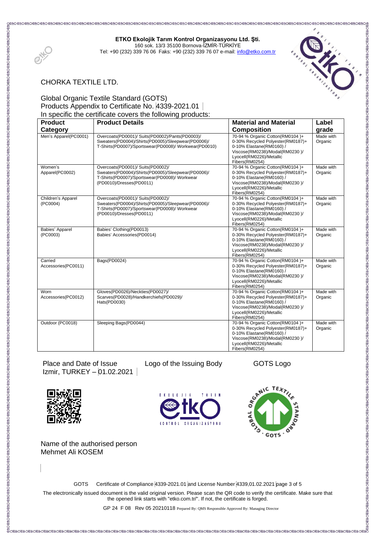# **ETKO Ekolojik Tarım Kontrol Organizasyonu Ltd. Şti.** 160 sok. 13/3 35100 Bornova-İZMİR-TÜRKİYE



Tel: +90 (232) 339 76 06 Faks: +90 (232) 339 76 07 e-mail[: info@etko.com.tr](mailto:info@etko.com.tr)



# CHORKA TEXTILE LTD.

### Global Organic Textile Standard (GOTS) Products Appendix to Certificate No. 4339-2021.01 In specific the certificate covers the following products:

| <b>Product</b>                 | opponio the coltinuate collorate the renorming products<br><b>Product Details</b>                                                                                    | <b>Material and Material</b>                                                                                                                                                     | Label                |
|--------------------------------|----------------------------------------------------------------------------------------------------------------------------------------------------------------------|----------------------------------------------------------------------------------------------------------------------------------------------------------------------------------|----------------------|
| Category                       |                                                                                                                                                                      | <b>Composition</b>                                                                                                                                                               | grade                |
| Men's Apparel(PC0001)          | Overcoats(PD0001)/ Suits(PD0002)/Pants(PD0003)/<br>Sweaters(PD0004)/Shirts(PD0005)/Sleepwear(PD0006)/<br>T-Shirts(PD0007)/Sportswear(PD0008)/Workwear(PD0010)        | 70-94 % Organic Cotton(RM0104)+<br>0-30% Recycled Polyester(RM0187)+<br>0-10% Elastane(RM0160) /<br>Viscose(RM0238)/Modal(RM0230)/<br>Lyocell(RM0226)/Metallic<br>Fibers(RM0254) | Made with<br>Organic |
| Women's<br>Apparel(PC0002)     | Overcoats(PD0001)/ Suits(PD0002)/<br>Sweaters(PD0004)/Shirts(PD0005)/Sleepwear(PD0006)/<br>T-Shirts(PD0007)/Sportswear(PD0008)/ Workwear<br>(PD0010)/Dresses(PD0011) | 70-94 % Organic Cotton(RM0104)+<br>0-30% Recycled Polyester(RM0187)+<br>0-10% Elastane(RM0160) /<br>Viscose(RM0238)/Modal(RM0230)/<br>Lyocell(RM0226)/Metallic<br>Fibers(RM0254) | Made with<br>Organic |
| Children's Apparel<br>(PC0004) | Overcoats(PD0001)/ Suits(PD0002)/<br>Sweaters(PD0004)/Shirts(PD0005)/Sleepwear(PD0006)/<br>T-Shirts(PD0007)/Sportswear(PD0008)/ Workwear<br>(PD0010)/Dresses(PD0011) | 70-94 % Organic Cotton(RM0104)+<br>0-30% Recycled Polyester(RM0187)+<br>0-10% Elastane(RM0160) /<br>Viscose(RM0238)/Modal(RM0230)/<br>Lyocell(RM0226)/Metallic<br>Fibers(RM0254) | Made with<br>Organic |
| Babies' Apparel<br>(PC0003)    | Babies' Clothing(PD0013)<br>Babies' Accessories(PD0014)                                                                                                              | 70-94 % Organic Cotton(RM0104)+<br>0-30% Recycled Polyester(RM0187)+<br>0-10% Elastane(RM0160) /<br>Viscose(RM0238)/Modal(RM0230)/<br>Lyocell(RM0226)/Metallic<br>Fibers(RM0254) | Made with<br>Organic |
| Carried<br>Accessories(PC0011) | Bags(PD0024)                                                                                                                                                         | 70-94 % Organic Cotton(RM0104)+<br>0-30% Recycled Polyester(RM0187)+<br>0-10% Elastane(RM0160) /<br>Viscose(RM0238)/Modal(RM0230)/<br>Lyocell(RM0226)/Metallic<br>Fibers(RM0254) | Made with<br>Organic |
| Worn<br>Accessories(PC0012)    | Gloves(PD0026)/Neckties(PD0027)/<br>Scarves(PD0028)/Handkerchiefs(PD0029)/<br>Hats(PD0030)                                                                           | 70-94 % Organic Cotton(RM0104)+<br>0-30% Recycled Polyester(RM0187)+<br>0-10% Elastane(RM0160) /<br>Viscose(RM0238)/Modal(RM0230)/<br>Lyocell(RM0226)/Metallic<br>Fibers(RM0254) | Made with<br>Organic |
| Outdoor (PC0018)               | Sleeping Bags(PD0044)                                                                                                                                                | 70-94 % Organic Cotton(RM0104)+<br>0-30% Recycled Polyester(RM0187)+<br>0-10% Elastane(RM0160) /<br>Viscose(RM0238)/Modal(RM0230)/<br>Lyocell(RM0226)/Metallic<br>Fibers(RM0254) | Made with<br>Organic |

Place and Date of Issue Logo of the Issuing Body GOTS Logo Izmir, TURKEY – 01.02.2021



Name of the authorised person Mehmet Ali KOSEM

ୁଞ୍ଚା<br>ଡି ଠକ୍ଷା ତାଙ୍କ ଠକ୍ଷା ଓ ଦକ୍ଷା ତାଙ୍କ ଠକ୍ଷା ତାଙ୍କ ଠକ୍ଷା ତାଙ୍କ ଠକ୍ଷା ତାଙ୍କ ଠକ୍ଷା ତାଙ୍କ ଠକ୍ଷା ତାଙ୍କ ଠକ୍ଷା ତାଙ୍କ ଠକ୍

GOTS Certificate of Compliance 4339-2021.01 and License Number 4339,01.02.2021 page 3 of 5

The electronically issued document is the valid original version. Please scan the QR code to verify the certificate. Make sure that the opened link starts with "etko.com.tr/". If not, the certificate is forged.

GP 24 F 08 Rev 05 20210118 Prepared By: QMS Responsible Approved By: Managing Director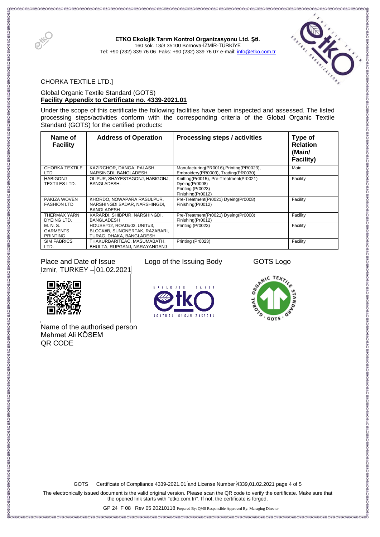

**ETKO Ekolojik Tarım Kontrol Organizasyonu Ltd. Şti.** 160 sok. 13/3 35100 Bornova-İZMİR-TÜRKİYE Tel: +90 (232) 339 76 06 Faks: +90 (232) 339 76 07 e-mail[: info@etko.com.tr](mailto:info@etko.com.tr)



CHORKA TEXTILE LTD.]

#### Global Organic Textile Standard (GOTS) **Facility Appendix to Certificate no. 4339-2021.01**

Under the scope of this certificate the following facilities have been inspected and assessed. The listed processing steps/activities conform with the corresponding criteria of the Global Organic Textile Standard (GOTS) for the certified products:

| Name of<br><b>Facility</b>                     | <b>Address of Operation</b>                                                              | Processing steps / activities                                                                       | Type of<br><b>Relation</b><br>(Main/<br>Facility) |
|------------------------------------------------|------------------------------------------------------------------------------------------|-----------------------------------------------------------------------------------------------------|---------------------------------------------------|
| CHORKA TEXTILE<br>LTD.                         | KAZIRCHOR, DANGA, PALASH,<br>NARSINGDI, BANGLADESH.                                      | Manufacturing(PR0016), Printing(PR0023),<br>Embroidery(PR0009), Trading(PR0030)                     | Main                                              |
| <b>HABIGONJ</b><br><b>TEXTILES LTD.</b>        | OLIPUR, SHAYESTAGONJ, HABIGONJ,<br>BANGLADESH.                                           | Knitting(Pr0015), Pre-Treatment(Pr0021)<br>Dyeing(Pr0008)<br>Printing (Pr0023)<br>Finishing(Pr0012) | Facility                                          |
| PAKIZA WOVEN<br><b>FASHION LTD</b>             | KHORDO, NOWAPARA RASULPUR,<br>NARSHINGDI SADAR, NARSHINGDI,<br><b>BANGLADESH</b>         | Pre-Treatment(Pr0021) Dyeing(Pr0008)<br>Finishing(Pr0012)                                           | Facility                                          |
| THERMAX YARN<br>DYEING LTD.                    | KARARDI, SHIBPUR, NARSHINGDI,<br><b>BANGLADESH</b>                                       | Pre-Treatment(Pr0021) Dyeing(Pr0008)<br>Finishing(Pr0012)                                           | Facility                                          |
| M. N. S.<br><b>GARMENTS</b><br><b>PRINTING</b> | HOUSE#12. ROAD#03. UNIT#3.<br>BLOCK#B, SUNONERTAK, RAZABARI,<br>TURAG, DHAKA, BANGLADESH | Printing (Pr0023)                                                                                   | Facility                                          |
| <b>SIM FABRICS</b><br>LTD.                     | THAKURBARITEAC, MASUMABATH,<br>BHULTA, RUPGANJ, NARAYANGANJ                              | Printing (Pr0023)                                                                                   | Facility                                          |

Place and Date of Issue Logo of the Issuing Body GOTS Logo Izmir, TURKEY - 01.02.2021



l. Name of the authorised person Mehmet Ali KÖSEM QR CODE





GOTS Certificate of Compliance 4339-2021.01 and License Number 4339,01.02.2021 page 4 of 5

The electronically issued document is the valid original version. Please scan the QR code to verify the certificate. Make sure that the opened link starts with "etko.com.tr/". If not, the certificate is forged.

 GP 24 F 08 Rev 05 20210118 Prepared By: QMS Responsible Approved By: Managing Director